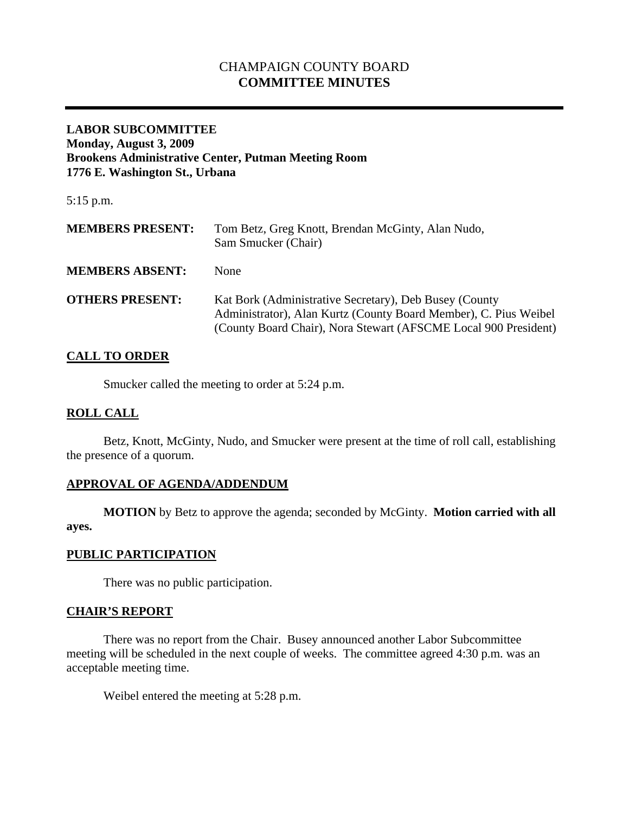# CHAMPAIGN COUNTY BOARD **COMMITTEE MINUTES**

## **LABOR SUBCOMMITTEE Monday, August 3, 2009 Brookens Administrative Center, Putman Meeting Room 1776 E. Washington St., Urbana**

5:15 p.m.

| <b>MEMBERS PRESENT:</b> | Tom Betz, Greg Knott, Brendan McGinty, Alan Nudo,<br>Sam Smucker (Chair)                                                                                                                      |
|-------------------------|-----------------------------------------------------------------------------------------------------------------------------------------------------------------------------------------------|
| <b>MEMBERS ABSENT:</b>  | <b>None</b>                                                                                                                                                                                   |
| <b>OTHERS PRESENT:</b>  | Kat Bork (Administrative Secretary), Deb Busey (County<br>Administrator), Alan Kurtz (County Board Member), C. Pius Weibel<br>(County Board Chair), Nora Stewart (AFSCME Local 900 President) |

## **CALL TO ORDER**

Smucker called the meeting to order at 5:24 p.m.

## **ROLL CALL**

 Betz, Knott, McGinty, Nudo, and Smucker were present at the time of roll call, establishing the presence of a quorum.

## **APPROVAL OF AGENDA/ADDENDUM**

 **MOTION** by Betz to approve the agenda; seconded by McGinty. **Motion carried with all ayes.** 

### **PUBLIC PARTICIPATION**

There was no public participation.

### **CHAIR'S REPORT**

 There was no report from the Chair. Busey announced another Labor Subcommittee meeting will be scheduled in the next couple of weeks. The committee agreed 4:30 p.m. was an acceptable meeting time.

Weibel entered the meeting at 5:28 p.m.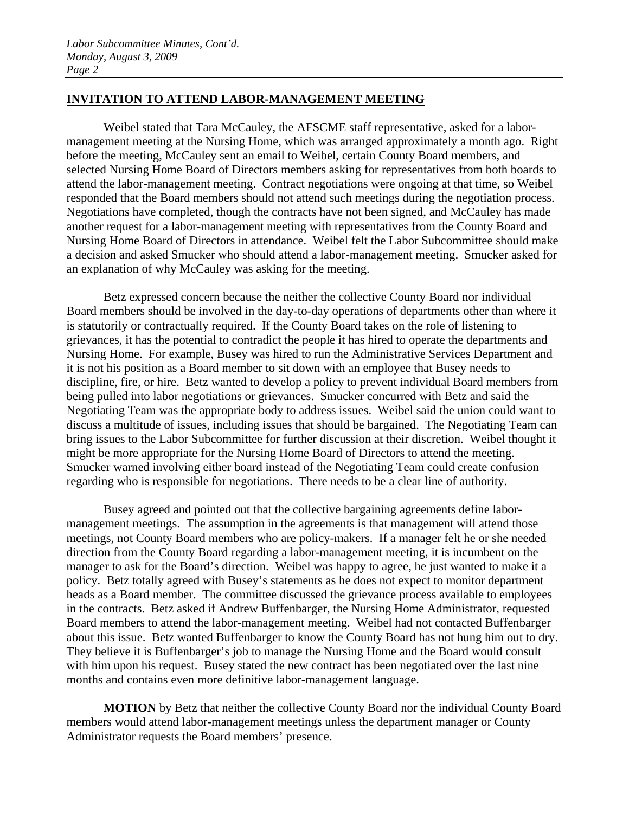## **INVITATION TO ATTEND LABOR-MANAGEMENT MEETING**

 Weibel stated that Tara McCauley, the AFSCME staff representative, asked for a labormanagement meeting at the Nursing Home, which was arranged approximately a month ago. Right before the meeting, McCauley sent an email to Weibel, certain County Board members, and selected Nursing Home Board of Directors members asking for representatives from both boards to attend the labor-management meeting. Contract negotiations were ongoing at that time, so Weibel responded that the Board members should not attend such meetings during the negotiation process. Negotiations have completed, though the contracts have not been signed, and McCauley has made another request for a labor-management meeting with representatives from the County Board and Nursing Home Board of Directors in attendance. Weibel felt the Labor Subcommittee should make a decision and asked Smucker who should attend a labor-management meeting. Smucker asked for an explanation of why McCauley was asking for the meeting.

Betz expressed concern because the neither the collective County Board nor individual Board members should be involved in the day-to-day operations of departments other than where it is statutorily or contractually required. If the County Board takes on the role of listening to grievances, it has the potential to contradict the people it has hired to operate the departments and Nursing Home. For example, Busey was hired to run the Administrative Services Department and it is not his position as a Board member to sit down with an employee that Busey needs to discipline, fire, or hire. Betz wanted to develop a policy to prevent individual Board members from being pulled into labor negotiations or grievances. Smucker concurred with Betz and said the Negotiating Team was the appropriate body to address issues. Weibel said the union could want to discuss a multitude of issues, including issues that should be bargained. The Negotiating Team can bring issues to the Labor Subcommittee for further discussion at their discretion. Weibel thought it might be more appropriate for the Nursing Home Board of Directors to attend the meeting. Smucker warned involving either board instead of the Negotiating Team could create confusion regarding who is responsible for negotiations. There needs to be a clear line of authority.

Busey agreed and pointed out that the collective bargaining agreements define labormanagement meetings. The assumption in the agreements is that management will attend those meetings, not County Board members who are policy-makers. If a manager felt he or she needed direction from the County Board regarding a labor-management meeting, it is incumbent on the manager to ask for the Board's direction. Weibel was happy to agree, he just wanted to make it a policy. Betz totally agreed with Busey's statements as he does not expect to monitor department heads as a Board member. The committee discussed the grievance process available to employees in the contracts. Betz asked if Andrew Buffenbarger, the Nursing Home Administrator, requested Board members to attend the labor-management meeting. Weibel had not contacted Buffenbarger about this issue. Betz wanted Buffenbarger to know the County Board has not hung him out to dry. They believe it is Buffenbarger's job to manage the Nursing Home and the Board would consult with him upon his request. Busey stated the new contract has been negotiated over the last nine months and contains even more definitive labor-management language.

**MOTION** by Betz that neither the collective County Board nor the individual County Board members would attend labor-management meetings unless the department manager or County Administrator requests the Board members' presence.